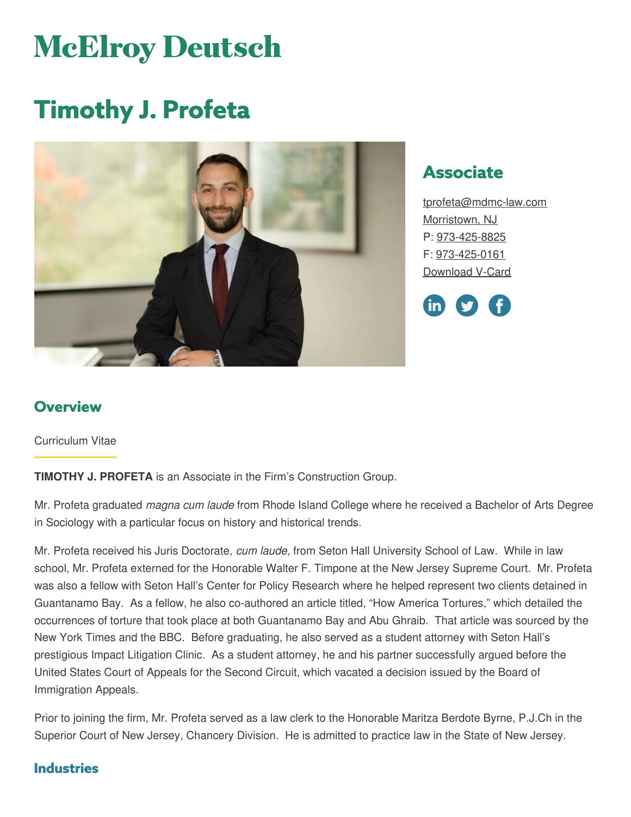# **McElroy Deutsch**

# **Timothy J. Profeta**



# **Associate**

[tprofeta@mdmc-law.com](mailto:tprofeta@mdmc-law.com) [Morristown,](https://www.mdmc-law.com/offices/morristown) NJ P: [973-425-8825](tel:973-425-8825) F: [973-425-0161](tel:973-425-0161) [Download](https://www.mdmc-law.com/node/2259/vcard) V-Card



### **Overview**

Curriculum Vitae

**TIMOTHY J. PROFETA** is an Associate in the Firm's Construction Group.

Mr. Profeta graduated *magna cum laude* from Rhode Island College where he received a Bachelor of Arts Degree in Sociology with a particular focus on history and historical trends.

Mr. Profeta received his Juris Doctorate, *cum laude*, from Seton Hall University School of Law. While in law school, Mr. Profeta externed for the Honorable Walter F. Timpone at the New Jersey Supreme Court. Mr. Profeta was also a fellow with Seton Hall's Center for Policy Research where he helped represent two clients detained in Guantanamo Bay. As a fellow, he also co-authored an article titled, "How America Tortures," which detailed the occurrences of torture that took place at both Guantanamo Bay and Abu Ghraib. That article was sourced by the New York Times and the BBC. Before graduating, he also served as a student attorney with Seton Hall's prestigious Impact Litigation Clinic. As a student attorney, he and his partner successfully argued before the United States Court of Appeals for the Second Circuit, which vacated a decision issued by the Board of Immigration Appeals.

Prior to joining the firm, Mr. Profeta served as a law clerk to the Honorable Maritza Berdote Byrne, P.J.Ch in the Superior Court of New Jersey, Chancery Division. He is admitted to practice law in the State of New Jersey.

#### **Industries**